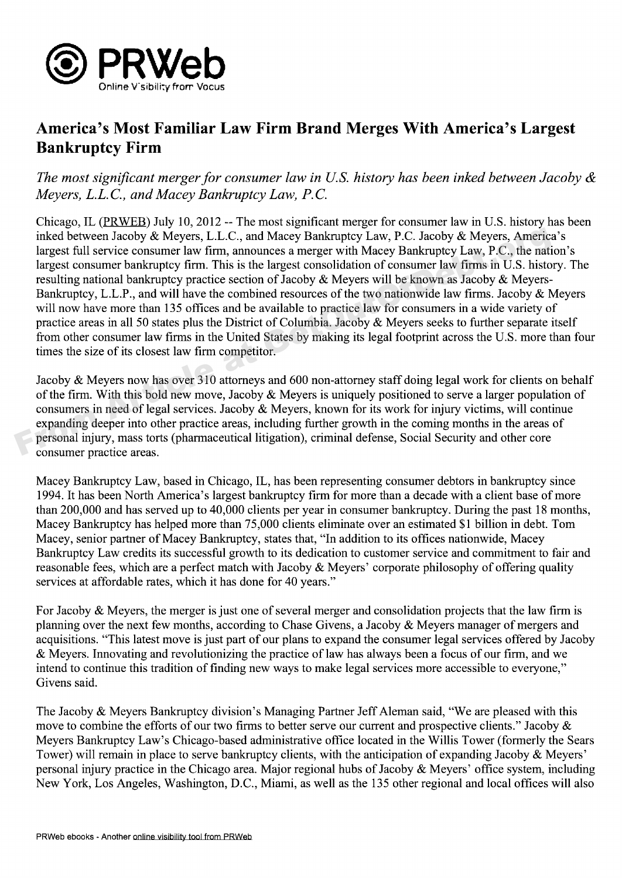

## **America's Most Familiar Law Firm Brand Merges With America's Largest Bankruptcy Firm**

## The most signif icant merger for consumer law in U.S. history has been inked between Jacoby **ck** Meyers, L.L.C., and Macey Bankruptcy Law, P.C.

Chicago, IL (PRWEB) July 10, 2012 — The most significant merger for consumer law in U.S. history has been inked between Jacoby & Meyers, L.L.C., and Macey Bankruptcy Law, P.C. Jacoby & Meyers, America's largest full service consumer law firm, announces a merger with Macey Bankruptcy Law, P.C., the nation's largest consumer bankruptcy firm. This is the largest consolidation of consumer law firms in U.S. history. The resulting national bankruptcy practice section of Jacoby & Meyers will be known as Jacoby & Meyers-Bankruptcy, L.L.P., and will have the combined resources of the two nationwide law firms. Jacoby & Meyers will now have more than 135 offices and be available to practice law for consumers in a wide variety of practice areas in all 50 states plus the District of Columbia. Jacoby & Meyers seeks to further separate itself from other consumer law firms in the United States by making its legal footprint across the U.S. more than four times the size of its closest law firm competitor. inked between Jacoby & Meyers, L.L.C., and Macey Bankruptcy Law, P.C. Jacoby & Meyers, America<br>largest full service consumer law firm, amounces a merger with Macey Bankruptcy Law, P.C., the nati<br>largest consumer bankruptc

Jacoby & Meyers now has over 310 attorneys and 600 non-attorney staff doing legal work for clients on behalf of the firm. With this bold new move, Jacoby & Meyers is uniquely positioned to serve a larger population of consumers in need of legal services. Jacoby & Meyers, known for its work for injury victims, will continue expanding deeper into other practice areas, including further growth in the coming months in the areas of personal injury, mass torts (pharmaceutical litigation), criminal defense, Social Security and other core consumer practice areas.

Macey Bankruptcy Law, based in Chicago, IL, has been representing consumer debtors in bankruptcy since 1994. It has been North America's largest bankruptcy firm for more than a decade with a client base of more than 200,000 and has served up to 40,000 clients per year in consumer bankruptcy. During the past 18 months, Macey Bankruptcy has helped more than 75,000 clients eliminate over an estimated \$1 billion in debt. Tom Macey, senior partner of Macey Bankruptcy, states that, "In addition to its offices nationwide, Macey Bankruptcy Law credits its successful growth to its dedication to customer service and commitment to fair and reasonable fees, which are a perfect match with Jacoby & Meyers' corporate philosophy of offering quality services at affordable rates, which it has done for 40 years."

For Jacoby & Meyers, the merger is just one of several merger and consolidation projects that the law firm is planning over the next few months, according to Chase Givens, a Jacoby &, Meyers manager of mergers and acquisitions. "This latest move is just part of our plans to expand the consumer legal services offered by Jacoby & Meyers. Innovating and revolutionizing the practice of law has always been a focus of our firm, and we intend to continue this tradition of finding new ways to make legal services more accessible to everyone," Givens said.

The Jacoby & Meyers Bankruptcy division's Managing Partner Jeff Aleman said, "We are pleased with this move to combine the efforts of our two firms to better serve our current and prospective clients." Jacoby & Meyers Bankruptcy Law's Chicago-based administrative office located in the Willis Tower (formerly the Sears Tower) will remain in place to serve bankruptcy clients, with the anticipation of expanding Jacoby & Meyers' personal injury practice in the Chicago area. Major regional hubs of Jacoby  $\&$  Meyers' office system, including New York, Los Angeles, Washington, D.C., Miami, as well as the 135 other regional and local offices will also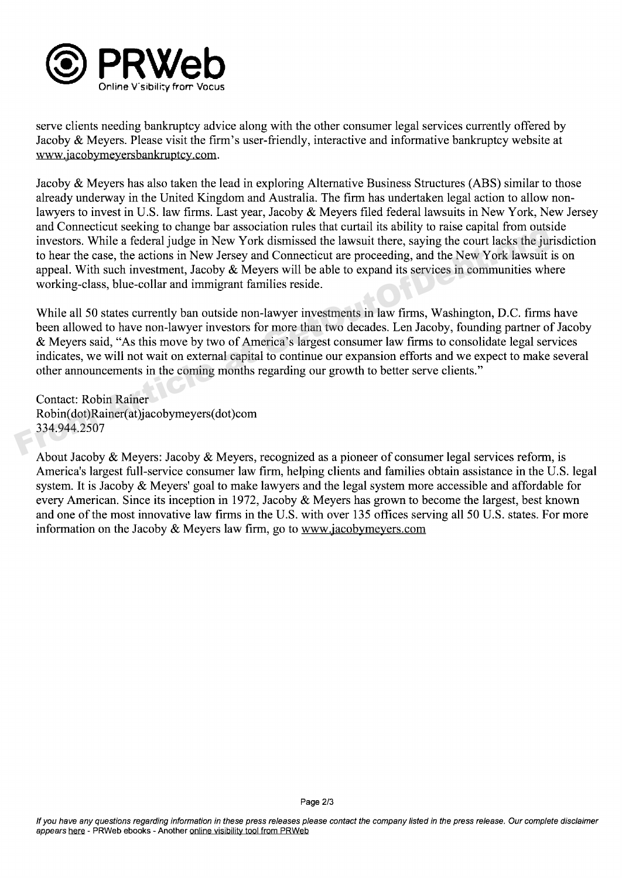

serve clients needing bankruptcy advice along with the other consumer legal services currently offered by Jacoby & Meyers. Please visit the firm's user-friendly, interactive and informative bankruptcy website at www.iacobymeversbankruptcy.com.

Jacoby & Meyers has also taken the lead in exploring Alternative Business Structures(ABS) similar to those already underway in the United Kingdom and Australia. The firm has undertaken legal action to allow non lawyers to invest in U.S. law firms. Last year, Jacoby & Meyers filed federal lawsuits in New York, New Jersey and Connecticut seeking to change bar association rules that curtail its ability to raise capital from outside investors. While a federal judge in New York dismissed the lawsuit there, saying the court lacks the jurisdiction to hear the case, the actions in New Jersey and Connecticut are proceeding, and the New York lawsuit is on appeal. With such investment, Jacoby & Meyers will be able to expand its services in communities where working-class, blue-collar and immigrant families reside.

While all 50 states currently ban outside non-lawyer investments in law firms, Washington, D.C. firms have been allowed to have non-lawyer investors for more than two decades. Len Jacoby, founding partner of Jacoby & Meyers said, "As this move by two of America's largest consumer law firms to consolidate legal services indicates, we will not wait on external capital to continue our expansion efforts and we expect to make several other announcements in the coming months regarding our growth to better serve clients." and Connecticut seeking to transportant more than the star current is soming to the contract investors. While a federal judge in New York dismissed the lawsuit there, saying the court lacks the jure to hear the case, the a

Contact: Robin Rainer Robin(dot) Rainer(at)j acobymeyers(dot) corn 334.944.2507

About Jacoby & Meyers: Jacoby & Meyers, recognized as a pioneer of consumer legal services reform, is America's largest full-service consumer law firm, helping clients and families obtain assistance in the U.S. legal system. It is Jacoby & Meyers' goal to make lawyers and the legal system more accessible and affordable for every American. Since its inception in 1972, Jacoby & Meyers has grown to become the largest, best known and one of the most innovative law firms in the U.S. with over 135 offices serving all 50 U.S. states. For more information on the Jacoby  $&$  Meyers law firm, go to www.jacobymeyers.com